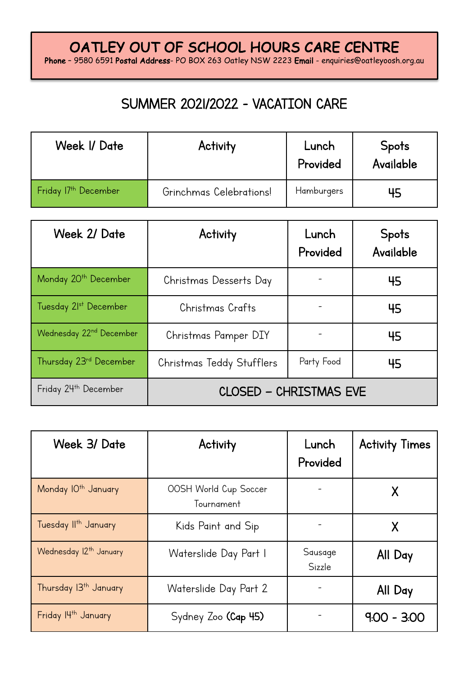Phone – 9580 6591 Postal Address- PO BOX 263 Oatley NSW 2223 Email - enquiries@oatleyoosh.org.au

### SUMMER 2021/2022 - VACATION CARE

| Week I/ Date                     | Activity                | Lunch<br>Provided | <b>Spots</b><br>Available |
|----------------------------------|-------------------------|-------------------|---------------------------|
| Friday 17 <sup>th</sup> December | Grinchmas Celebrations! | Hamburgers        |                           |

| Week 2/ Date                        | Activity                  | Lunch<br>Provided | <b>Spots</b><br>Available |  |
|-------------------------------------|---------------------------|-------------------|---------------------------|--|
| Monday 20 <sup>th</sup> December    | Christmas Desserts Day    |                   | 45                        |  |
| Tuesday 21st December               | Christmas Crafts          |                   | 45                        |  |
| Wednesday 22 <sup>nd</sup> December | Christmas Pamper DIY      |                   | 45                        |  |
| Thursday 23 <sup>rd</sup> December  | Christmas Teddy Stufflers | Party Food        | 45                        |  |
| Friday 24th December                | CLOSED - CHRISTMAS EVE    |                   |                           |  |

| Week 3/ Date                       | Activity                            | Lunch<br>Provided | <b>Activity Times</b> |
|------------------------------------|-------------------------------------|-------------------|-----------------------|
| Monday IO <sup>th</sup> January    | OOSH World Cup Soccer<br>Tournament |                   |                       |
| Tuesday II <sup>th</sup> January   | Kids Paint and Sip                  |                   |                       |
| Wednesday 12 <sup>th</sup> January | Waterslide Day Part I               | Sausage<br>Sizzle | All Day               |
| Thursday 13 <sup>th</sup> January  | Waterslide Day Part 2               |                   | All Day               |
| Friday I4th January                | Sydney Zoo (Cap 45)                 |                   | $9.00 - 3.00$         |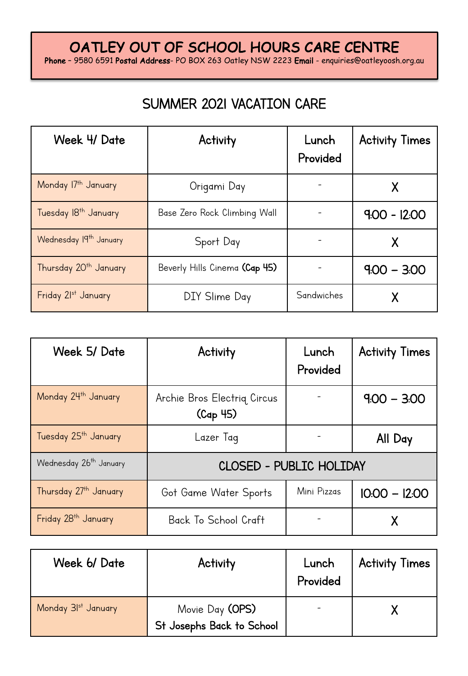Phone – 9580 6591 Postal Address- PO BOX 263 Oatley NSW 2223 Email - enquiries@oatleyoosh.org.au

## SUMMER 2021 VACATION CARE

| Week 4/ Date                       | Activity                      | Lunch<br>Provided | <b>Activity Times</b> |
|------------------------------------|-------------------------------|-------------------|-----------------------|
| Monday 17th January                | Origami Day                   |                   |                       |
| Tuesday 18 <sup>th</sup> January   | Base Zero Rock Climbing Wall  |                   | $9.00 - 12.00$        |
| Wednesday 19 <sup>th</sup> January | Sport Day                     |                   |                       |
| Thursday 20 <sup>th</sup> January  | Beverly Hills Cinema (Cap 45) |                   | $9.00 - 3.00$         |
| Friday 21st January                | DIY Slime Day                 | Sandwiches        |                       |

| Week 5/ Date                       | Activity                                | Lunch<br>Provided              | <b>Activity Times</b> |  |  |
|------------------------------------|-----------------------------------------|--------------------------------|-----------------------|--|--|
| Monday 24th January                | Archie Bros Electrig Circus<br>(Cap 45) |                                | $9.00 - 3.00$         |  |  |
| Tuesday 25 <sup>th</sup> January   | Lazer Tag                               |                                | All Day               |  |  |
| Wednesday 26 <sup>th</sup> January |                                         | <b>CLOSED - PUBLIC HOLIDAY</b> |                       |  |  |
| Thursday 27th January              | Got Game Water Sports                   | Mini Pizzas                    | $10:00 - 12:00$       |  |  |
| Friday 28 <sup>th</sup> January    | Back To School Craft                    |                                |                       |  |  |

| Week 6/Date         | Activity                                     | Lunch<br>Provided | <b>Activity Times</b> |
|---------------------|----------------------------------------------|-------------------|-----------------------|
| Monday 31st January | Movie Day (OPS)<br>St Josephs Back to School |                   |                       |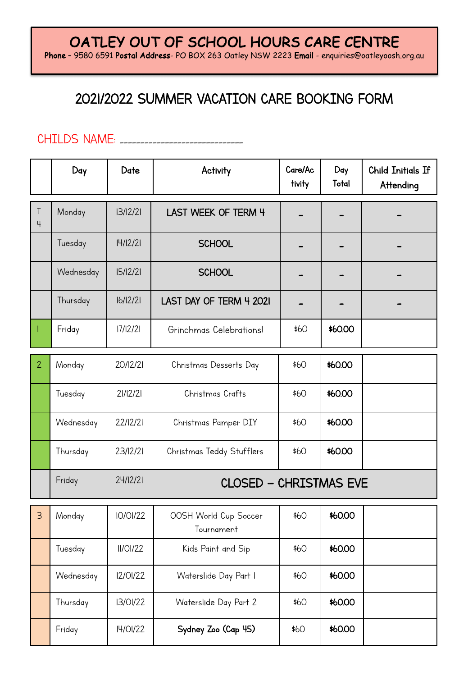Phone - 9580 6591 Postal Address- PO BOX 263 Oatley NSW 2223 Email - enquiries@oatleyoosh.org.au

### 2021/2022 SUMMER VACATION CARE BOOKING FORM

#### CHILDS NAME: \_\_\_\_\_\_\_\_\_\_\_\_\_\_\_\_\_\_\_\_\_\_\_\_\_\_\_\_\_\_

|                          | Day       | Date            | Activity                            | Care/Ac<br>tivity | Day<br>Total | <b>Child Initials If</b><br>Attending |
|--------------------------|-----------|-----------------|-------------------------------------|-------------------|--------------|---------------------------------------|
| $\top$<br>$\overline{4}$ | Monday    | 13/12/21        | LAST WEEK OF TERM 4                 |                   |              |                                       |
|                          | Tuesday   | 4/ 2/2          | <b>SCHOOL</b>                       |                   |              |                                       |
|                          | Wednesday | 15/12/21        | <b>SCHOOL</b>                       |                   |              |                                       |
|                          | Thursday  | 16/12/21        | LAST DAY OF TERM 4 2021             |                   |              |                                       |
|                          | Friday    | 17/12/21        | Grinchmas Celebrations!             | \$60              | \$60.00      |                                       |
| $\overline{2}$           | Monday    | 20/12/21        | Christmas Desserts Day              | \$60              | \$60.00      |                                       |
|                          | Tuesday   | 21/12/21        | Christmas Crafts                    | \$60              | \$60.00      |                                       |
|                          | Wednesday | 22/12/21        | Christmas Pamper DIY                | \$60              | \$60.00      |                                       |
|                          | Thursday  | 23/12/21        | Christmas Teddy Stufflers           | \$60              | \$60.00      |                                       |
|                          | Friday    | 24/12/21        | <b>CLOSED - CHRISTMAS EVE</b>       |                   |              |                                       |
| $\overline{3}$           | Monday    | <b>IO/OI/22</b> | OOSH World Cup Soccer<br>Tournament | \$60              | \$60.00      |                                       |
|                          | Tuesday   | II/OI/22        | Kids Paint and Sip                  | \$60              | \$60.00      |                                       |
|                          | Wednesday | 12/01/22        | Waterslide Day Part I               | \$60              | \$60.00      |                                       |
|                          | Thursday  | 13/01/22        | Waterslide Day Part 2               | \$60              | \$60.00      |                                       |
|                          | Friday    | I4/01/22        | Sydney Zoo (Cap 45)                 | \$60              | \$60.00      |                                       |